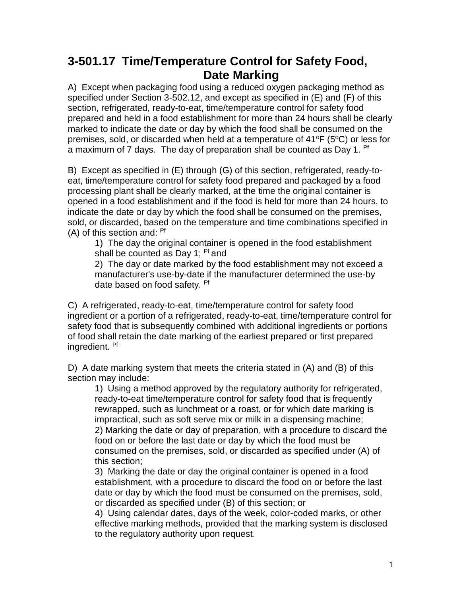## **3-501.17 Time/Temperature Control for Safety Food, Date Marking**

A) Except when packaging food using a reduced oxygen packaging method as specified under Section 3-502.12, and except as specified in (E) and (F) of this section, refrigerated, ready-to-eat, time/temperature control for safety food prepared and held in a food establishment for more than 24 hours shall be clearly marked to indicate the date or day by which the food shall be consumed on the premises, sold, or discarded when held at a temperature of  $41^{\circ}F$  (5 $^{\circ}C$ ) or less for a maximum of 7 days. The day of preparation shall be counted as Day 1. <sup>Pf</sup>

B) Except as specified in (E) through (G) of this section, refrigerated, ready-toeat, time/temperature control for safety food prepared and packaged by a food processing plant shall be clearly marked, at the time the original container is opened in a food establishment and if the food is held for more than 24 hours, to indicate the date or day by which the food shall be consumed on the premises, sold, or discarded, based on the temperature and time combinations specified in (A) of this section and: Pf

1) The day the original container is opened in the food establishment shall be counted as Day 1; <sup>Pf</sup> and

2) The day or date marked by the food establishment may not exceed a manufacturer's use-by-date if the manufacturer determined the use-by date based on food safety. Pf

C) A refrigerated, ready-to-eat, time/temperature control for safety food ingredient or a portion of a refrigerated, ready-to-eat, time/temperature control for safety food that is subsequently combined with additional ingredients or portions of food shall retain the date marking of the earliest prepared or first prepared ingredient. Pf

D) A date marking system that meets the criteria stated in (A) and (B) of this section may include:

1) Using a method approved by the regulatory authority for refrigerated, ready-to-eat time/temperature control for safety food that is frequently rewrapped, such as lunchmeat or a roast, or for which date marking is impractical, such as soft serve mix or milk in a dispensing machine; 2) Marking the date or day of preparation, with a procedure to discard the food on or before the last date or day by which the food must be consumed on the premises, sold, or discarded as specified under (A) of this section;

3) Marking the date or day the original container is opened in a food establishment, with a procedure to discard the food on or before the last date or day by which the food must be consumed on the premises, sold, or discarded as specified under (B) of this section; or

4) Using calendar dates, days of the week, color-coded marks, or other effective marking methods, provided that the marking system is disclosed to the regulatory authority upon request.